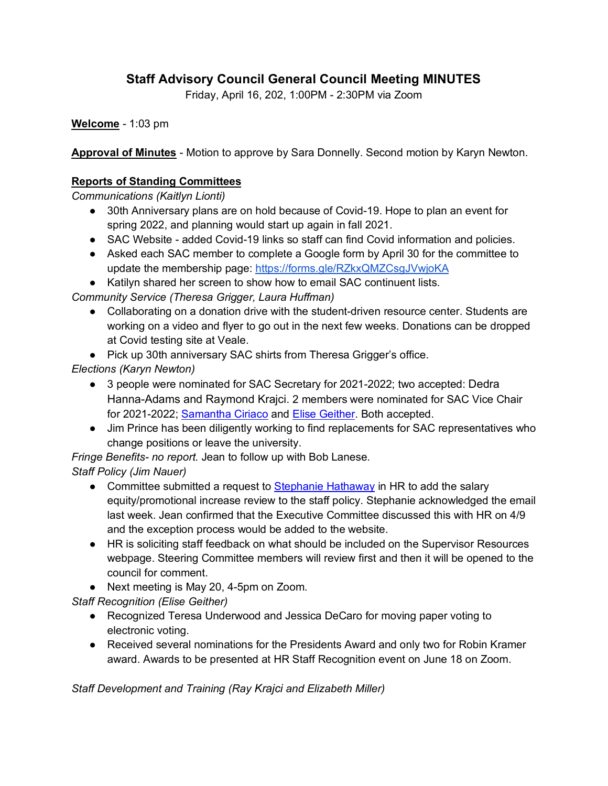# **Staff Advisory Council General Council Meeting MINUTES**

Friday, April 16, 202, 1:00PM - 2:30PM via Zoom

**Welcome** - 1:03 pm

**Approval of Minutes** - Motion to approve by Sara Donnelly. Second motion by Karyn Newton.

#### **Reports of Standing Committees**

*Communications (Kaitlyn Lionti)* 

- 30th Anniversary plans are on hold because of Covid-19. Hope to plan an event for spring 2022, and planning would start up again in fall 2021.
- SAC Website added Covid-19 links so staff can find Covid information and policies.
- Asked each SAC member to complete a Google form by April 30 for the committee to update the membership page: https://forms.gle/RZkxQMZCsgJVwjoKA
- Katilyn shared her screen to show how to email SAC continuent lists.

*Community Service (Theresa Grigger, Laura Huffman)*

- Collaborating on a donation drive with the student-driven resource center. Students are working on a video and flyer to go out in the next few weeks. Donations can be dropped at Covid testing site at Veale.
- Pick up 30th anniversary SAC shirts from Theresa Grigger's office.

*Elections (Karyn Newton)*

- 3 people were nominated for SAC Secretary for 2021-2022; two accepted: Dedra Hanna-Adams and Raymond Krajci. 2 members were nominated for SAC Vice Chair for 2021-2022; Samantha Ciriaco and Elise Geither. Both accepted.
- Jim Prince has been diligently working to find replacements for SAC representatives who change positions or leave the university.

*Fringe Benefits- no report.* Jean to follow up with Bob Lanese.

*Staff Policy (Jim Nauer)*

- Committee submitted a request to Stephanie Hathaway in HR to add the salary equity/promotional increase review to the staff policy. Stephanie acknowledged the email last week. Jean confirmed that the Executive Committee discussed this with HR on 4/9 and the exception process would be added to the website.
- HR is soliciting staff feedback on what should be included on the Supervisor Resources webpage. Steering Committee members will review first and then it will be opened to the council for comment.
- Next meeting is May 20, 4-5pm on Zoom.

*Staff Recognition (Elise Geither)*

- Recognized Teresa Underwood and Jessica DeCaro for moving paper voting to electronic voting.
- Received several nominations for the Presidents Award and only two for Robin Kramer award. Awards to be presented at HR Staff Recognition event on June 18 on Zoom.

*Staff Development and Training (Ray Krajci and Elizabeth Miller)*